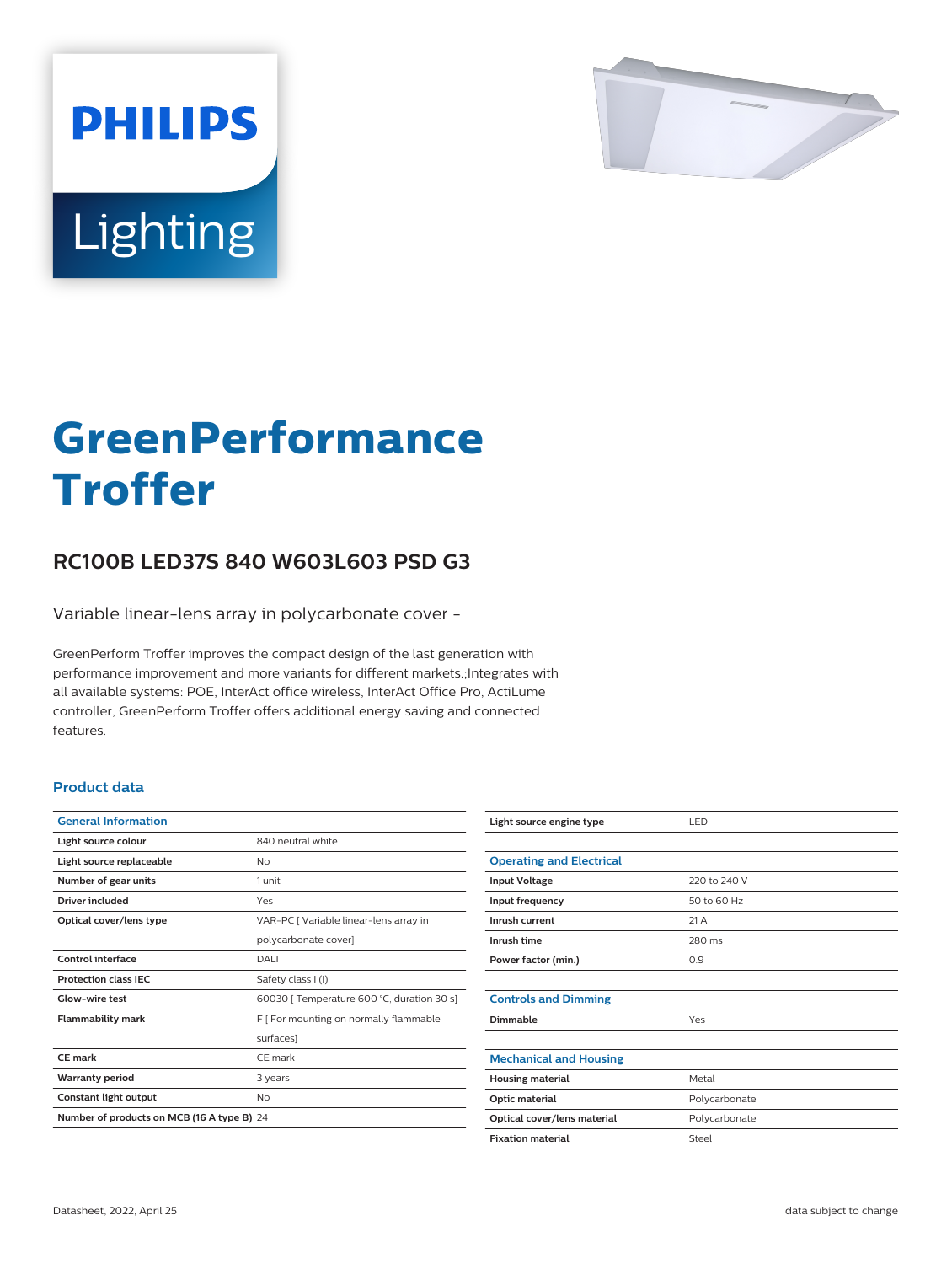

# Lighting

**PHILIPS** 

# **GreenPerformance Troffer**

## **RC100B LED37S 840 W603L603 PSD G3**

Variable linear-lens array in polycarbonate cover -

GreenPerform Troffer improves the compact design of the last generation with performance improvement and more variants for different markets.;Integrates with all available systems: POE, InterAct office wireless, InterAct Office Pro, ActiLume controller, GreenPerform Troffer offers additional energy saving and connected features.

#### **Product data**

| <b>General Information</b>                 |                                            |  |
|--------------------------------------------|--------------------------------------------|--|
| Light source colour                        | 840 neutral white                          |  |
| Light source replaceable                   | Nο                                         |  |
| Number of gear units                       | 1 unit                                     |  |
| Driver included                            | Yes                                        |  |
| Optical cover/lens type                    | VAR-PC   Variable linear-lens array in     |  |
|                                            | polycarbonate cover]                       |  |
| Control interface                          | DALI                                       |  |
| <b>Protection class IEC</b>                | Safety class I (I)                         |  |
| Glow-wire test                             | 60030   Temperature 600 °C, duration 30 s] |  |
| <b>Flammability mark</b>                   | F   For mounting on normally flammable     |  |
|                                            | surfaces]                                  |  |
| CE mark                                    | CF mark                                    |  |
| <b>Warranty period</b>                     | 3 years                                    |  |
| Constant light output                      | No                                         |  |
| Number of products on MCB (16 A type B) 24 |                                            |  |

| Light source engine type        | LED           |
|---------------------------------|---------------|
|                                 |               |
| <b>Operating and Electrical</b> |               |
| <b>Input Voltage</b>            | 220 to 240 V  |
| Input frequency                 | 50 to 60 Hz   |
| Inrush current                  | 21A           |
| Inrush time                     | 280 ms        |
| Power factor (min.)             | 0.9           |
|                                 |               |
| <b>Controls and Dimming</b>     |               |
| Dimmable                        | Yes           |
|                                 |               |
| <b>Mechanical and Housing</b>   |               |
| <b>Housing material</b>         | Metal         |
| Optic material                  | Polycarbonate |
| Optical cover/lens material     | Polycarbonate |
| <b>Fixation material</b>        | Steel         |
|                                 |               |